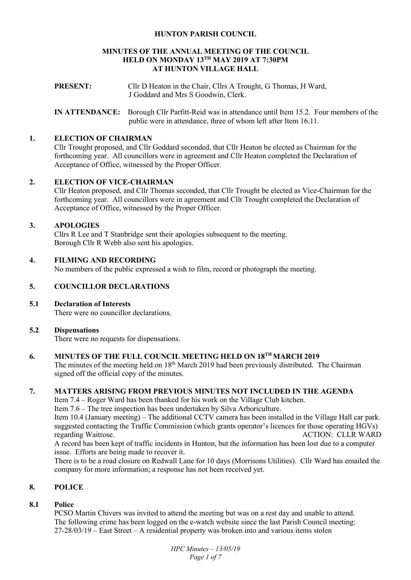### **HUNTON PARISH COUNCIL**

#### **MINUTES OF THE ANNUAL MEETING OF THE COUNCIL HELD ON MONDAY 13TH MAY 2019 AT 7:30PM AT HUNTON VILLAGE HALL**

**PRESENT:** Cllr D Heaton in the Chair, Cllrs A Trought, G Thomas, H Ward, J Goddard and Mrs S Goodwin, Clerk.

**IN ATTENDANCE:** Borough Cllr Parfitt-Reid was in attendance until Item 15.2. Four members of the public were in attendance, three of whom left after Item 16.11.

#### **1. ELECTION OF CHAIRMAN**

Cllr Trought proposed, and Cllr Goddard seconded, that Cllr Heaton be elected as Chairman for the forthcoming year. All councillors were in agreement and Cllr Heaton completed the Declaration of Acceptance of Office, witnessed by the Proper Officer.

### **2. ELECTION OF VICE-CHAIRMAN**

Cllr Heaton proposed, and Cllr Thomas seconded, that Cllr Trought be elected as Vice-Chairman for the forthcoming year. All councillors were in agreement and Cllr Trought completed the Declaration of Acceptance of Office, witnessed by the Proper Officer.

### **3. APOLOGIES**

Cllrs R Lee and T Stanbridge sent their apologies subsequent to the meeting. Borough Cllr R Webb also sent his apologies.

### **4. FILMING AND RECORDING**

No members of the public expressed a wish to film, record or photograph the meeting.

### **5. COUNCILLOR DECLARATIONS**

# **5.1 Declaration of Interests**

There were no councillor declarations.

#### **5.2 Dispensations**

There were no requests for dispensations.

# **6. MINUTES OF THE FULL COUNCIL MEETING HELD ON 18TH MARCH 2019**

The minutes of the meeting held on 18<sup>th</sup> March 2019 had been previously distributed. The Chairman signed off the official copy of the minutes.

### **7. MATTERS ARISING FROM PREVIOUS MINUTES NOT INCLUDED IN THE AGENDA**

Item 7.4 – Roger Ward has been thanked for his work on the Village Club kitchen.

Item 7.6 – The tree inspection has been undertaken by Silva Arboriculture.

Item 10.4 (January meeting) – The additional CCTV camera has been installed in the Village Hall car park. suggested contacting the Traffic Commission (which grants operator's licences for those operating HGVs) regarding Waitrose. ACTION: CLLR WARD

A record has been kept of traffic incidents in Hunton, but the information has been lost due to a computer issue. Efforts are being made to recover it.

There is to be a road closure on Redwall Lane for 10 days (Morrisons Utilities). Cllr Ward has emailed the company for more information; a response has not been received yet.

# **8. POLICE**

# **8.1 Police**

PCSO Martin Chivers was invited to attend the meeting but was on a rest day and unable to attend. The following crime has been logged on the e-watch website since the last Parish Council meeting: 27-28/03/19 – East Street – A residential property was broken into and various items stolen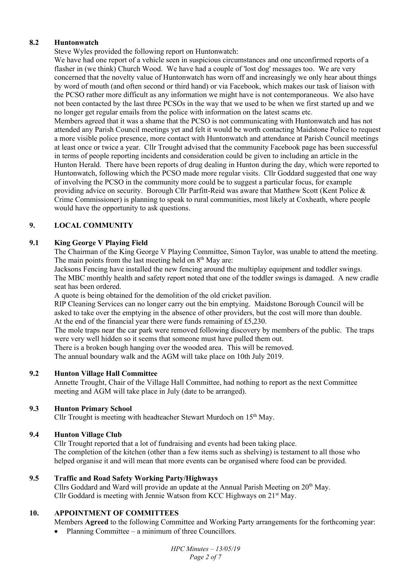# **8.2 Huntonwatch**

Steve Wyles provided the following report on Huntonwatch:

We have had one report of a vehicle seen in suspicious circumstances and one unconfirmed reports of a flasher in (we think) Church Wood. We have had a couple of 'lost dog' messages too. We are very concerned that the novelty value of Huntonwatch has worn off and increasingly we only hear about things by word of mouth (and often second or third hand) or via Facebook, which makes our task of liaison with the PCSO rather more difficult as any information we might have is not contemporaneous. We also have not been contacted by the last three PCSOs in the way that we used to be when we first started up and we no longer get regular emails from the police with information on the latest scams etc.

Members agreed that it was a shame that the PCSO is not communicating with Huntonwatch and has not attended any Parish Council meetings yet and felt it would be worth contacting Maidstone Police to request a more visible police presence, more contact with Huntonwatch and attendance at Parish Council meetings at least once or twice a year. Cllr Trought advised that the community Facebook page has been successful in terms of people reporting incidents and consideration could be given to including an article in the Hunton Herald. There have been reports of drug dealing in Hunton during the day, which were reported to Huntonwatch, following which the PCSO made more regular visits. Cllr Goddard suggested that one way of involving the PCSO in the community more could be to suggest a particular focus, for example providing advice on security. Borough Cllr Parfitt-Reid was aware that Matthew Scott (Kent Police & Crime Commissioner) is planning to speak to rural communities, most likely at Coxheath, where people would have the opportunity to ask questions.

# **9. LOCAL COMMUNITY**

# **9.1 King George V Playing Field**

The Chairman of the King George V Playing Committee, Simon Taylor, was unable to attend the meeting. The main points from the last meeting held on  $8<sup>th</sup>$  May are:

Jacksons Fencing have installed the new fencing around the multiplay equipment and toddler swings. The MBC monthly health and safety report noted that one of the toddler swings is damaged. A new cradle seat has been ordered.

A quote is being obtained for the demolition of the old cricket pavilion.

RIP Cleaning Services can no longer carry out the bin emptying. Maidstone Borough Council will be asked to take over the emptying in the absence of other providers, but the cost will more than double. At the end of the financial year there were funds remaining of £5,230.

The mole traps near the car park were removed following discovery by members of the public. The traps were very well hidden so it seems that someone must have pulled them out.

There is a broken bough hanging over the wooded area. This will be removed.

The annual boundary walk and the AGM will take place on 10th July 2019.

# **9.2 Hunton Village Hall Committee**

Annette Trought, Chair of the Village Hall Committee, had nothing to report as the next Committee meeting and AGM will take place in July (date to be arranged).

# **9.3 Hunton Primary School**

Cllr Trought is meeting with headteacher Stewart Murdoch on 15th May.

# **9.4 Hunton Village Club**

Cllr Trought reported that a lot of fundraising and events had been taking place. The completion of the kitchen (other than a few items such as shelving) is testament to all those who helped organise it and will mean that more events can be organised where food can be provided.

# **9.5 Traffic and Road Safety Working Party/Highways**

Cllrs Goddard and Ward will provide an update at the Annual Parish Meeting on  $20<sup>th</sup>$  Mav. Cllr Goddard is meeting with Jennie Watson from KCC Highways on 21st May.

# **10. APPOINTMENT OF COMMITTEES**

Members **Agreed** to the following Committee and Working Party arrangements for the forthcoming year:

• Planning Committee – a minimum of three Councillors.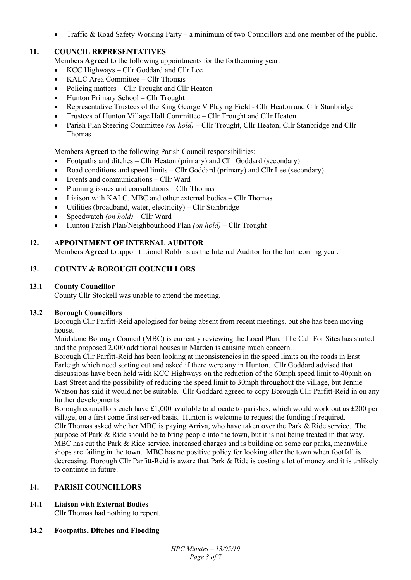Traffic & Road Safety Working Party – a minimum of two Councillors and one member of the public.

# **11. COUNCIL REPRESENTATIVES**

Members **Agreed** to the following appointments for the forthcoming year:

- KCC Highways Cllr Goddard and Cllr Lee
- KALC Area Committee Cllr Thomas
- Policing matters Cllr Trought and Cllr Heaton
- Hunton Primary School Cllr Trought
- Representative Trustees of the King George V Playing Field Cllr Heaton and Cllr Stanbridge
- Trustees of Hunton Village Hall Committee Cllr Trought and Cllr Heaton
- Parish Plan Steering Committee *(on hold)*  Cllr Trought, Cllr Heaton, Cllr Stanbridge and Cllr Thomas

Members **Agreed** to the following Parish Council responsibilities:

- Footpaths and ditches Cllr Heaton (primary) and Cllr Goddard (secondary)
- Road conditions and speed limits Cllr Goddard (primary) and Cllr Lee (secondary)
- Events and communications Cllr Ward
- Planning issues and consultations Cllr Thomas
- Liaison with KALC, MBC and other external bodies Cllr Thomas
- Utilities (broadband, water, electricity) Cllr Stanbridge
- Speedwatch *(on hold)* Cllr Ward
- Hunton Parish Plan/Neighbourhood Plan *(on hold)* Cllr Trought

# **12. APPOINTMENT OF INTERNAL AUDITOR**

Members **Agreed** to appoint Lionel Robbins as the Internal Auditor for the forthcoming year.

# **13. COUNTY & BOROUGH COUNCILLORS**

# **13.1 County Councillor**

County Cllr Stockell was unable to attend the meeting.

# **13.2 Borough Councillors**

Borough Cllr Parfitt-Reid apologised for being absent from recent meetings, but she has been moving house.

Maidstone Borough Council (MBC) is currently reviewing the Local Plan. The Call For Sites has started and the proposed 2,000 additional houses in Marden is causing much concern.

Borough Cllr Parfitt-Reid has been looking at inconsistencies in the speed limits on the roads in East Farleigh which need sorting out and asked if there were any in Hunton. Cllr Goddard advised that discussions have been held with KCC Highways on the reduction of the 60mph speed limit to 40pmh on East Street and the possibility of reducing the speed limit to 30mph throughout the village, but Jennie Watson has said it would not be suitable. Cllr Goddard agreed to copy Borough Cllr Parfitt-Reid in on any further developments.

Borough councillors each have £1,000 available to allocate to parishes, which would work out as £200 per village, on a first come first served basis. Hunton is welcome to request the funding if required. Cllr Thomas asked whether MBC is paying Arriva, who have taken over the Park & Ride service. The purpose of Park & Ride should be to bring people into the town, but it is not being treated in that way. MBC has cut the Park & Ride service, increased charges and is building on some car parks, meanwhile shops are failing in the town. MBC has no positive policy for looking after the town when footfall is decreasing. Borough Cllr Parfitt-Reid is aware that Park & Ride is costing a lot of money and it is unlikely to continue in future.

# **14. PARISH COUNCILLORS**

# **14.1 Liaison with External Bodies**

Cllr Thomas had nothing to report.

# **14.2 Footpaths, Ditches and Flooding**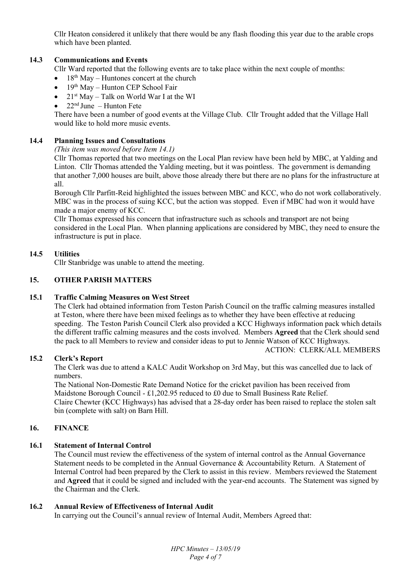Cllr Heaton considered it unlikely that there would be any flash flooding this year due to the arable crops which have been planted.

### **14.3 Communications and Events**

Cllr Ward reported that the following events are to take place within the next couple of months:

- $18<sup>th</sup>$  May Huntones concert at the church
- $\bullet$  19<sup>th</sup> May Hunton CEP School Fair
- $21<sup>st</sup>$  May Talk on World War I at the WI
- $22<sup>nd</sup>$  June Hunton Fete

There have been a number of good events at the Village Club. Cllr Trought added that the Village Hall would like to hold more music events.

#### **14.4 Planning Issues and Consultations**

#### *(This item was moved before Item 14.1)*

Cllr Thomas reported that two meetings on the Local Plan review have been held by MBC, at Yalding and Linton. Cllr Thomas attended the Yalding meeting, but it was pointless. The government is demanding that another 7,000 houses are built, above those already there but there are no plans for the infrastructure at all.

Borough Cllr Parfitt-Reid highlighted the issues between MBC and KCC, who do not work collaboratively. MBC was in the process of suing KCC, but the action was stopped. Even if MBC had won it would have made a major enemy of KCC.

Cllr Thomas expressed his concern that infrastructure such as schools and transport are not being considered in the Local Plan. When planning applications are considered by MBC, they need to ensure the infrastructure is put in place.

#### **14.5 Utilities**

Cllr Stanbridge was unable to attend the meeting.

#### **15. OTHER PARISH MATTERS**

#### **15.1 Traffic Calming Measures on West Street**

The Clerk had obtained information from Teston Parish Council on the traffic calming measures installed at Teston, where there have been mixed feelings as to whether they have been effective at reducing speeding. The Teston Parish Council Clerk also provided a KCC Highways information pack which details the different traffic calming measures and the costs involved. Members **Agreed** that the Clerk should send the pack to all Members to review and consider ideas to put to Jennie Watson of KCC Highways. ACTION: CLERK/ALL MEMBERS

#### **15.2 Clerk's Report**

The Clerk was due to attend a KALC Audit Workshop on 3rd May, but this was cancelled due to lack of numbers.

The National Non-Domestic Rate Demand Notice for the cricket pavilion has been received from Maidstone Borough Council - £1,202.95 reduced to £0 due to Small Business Rate Relief. Claire Chewter (KCC Highways) has advised that a 28-day order has been raised to replace the stolen salt bin (complete with salt) on Barn Hill.

#### **16. FINANCE**

#### **16.1 Statement of Internal Control**

The Council must review the effectiveness of the system of internal control as the Annual Governance Statement needs to be completed in the Annual Governance & Accountability Return. A Statement of Internal Control had been prepared by the Clerk to assist in this review. Members reviewed the Statement and **Agreed** that it could be signed and included with the year-end accounts. The Statement was signed by the Chairman and the Clerk.

#### **16.2 Annual Review of Effectiveness of Internal Audit**

In carrying out the Council's annual review of Internal Audit, Members Agreed that: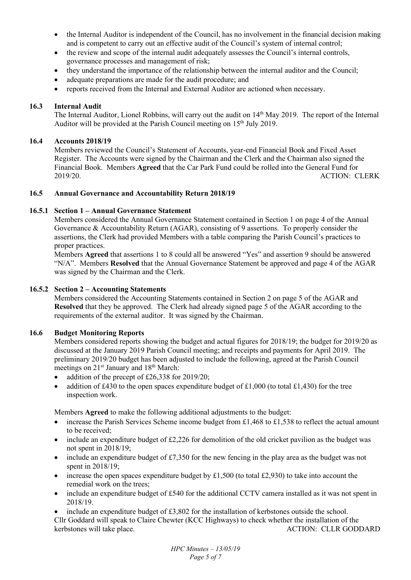- the Internal Auditor is independent of the Council, has no involvement in the financial decision making and is competent to carry out an effective audit of the Council's system of internal control;
- the review and scope of the internal audit adequately assesses the Council's internal controls, governance processes and management of risk;
- they understand the importance of the relationship between the internal auditor and the Council;
- adequate preparations are made for the audit procedure; and
- reports received from the Internal and External Auditor are actioned when necessary.

# **16.3 Internal Audit**

The Internal Auditor, Lionel Robbins, will carry out the audit on 14<sup>th</sup> May 2019. The report of the Internal Auditor will be provided at the Parish Council meeting on 15<sup>th</sup> July 2019.

## **16.4 Accounts 2018/19**

Members reviewed the Council's Statement of Accounts, year-end Financial Book and Fixed Asset Register. The Accounts were signed by the Chairman and the Clerk and the Chairman also signed the Financial Book. Members **Agreed** that the Car Park Fund could be rolled into the General Fund for 2019/20. ACTION: CLERK

### **16.5 Annual Governance and Accountability Return 2018/19**

### **16.5.1 Section 1 – Annual Governance Statement**

Members considered the Annual Governance Statement contained in Section 1 on page 4 of the Annual Governance & Accountability Return (AGAR), consisting of 9 assertions. To properly consider the assertions, the Clerk had provided Members with a table comparing the Parish Council's practices to proper practices.

Members **Agreed** that assertions 1 to 8 could all be answered "Yes" and assertion 9 should be answered "N/A". Members **Resolved** that the Annual Governance Statement be approved and page 4 of the AGAR was signed by the Chairman and the Clerk.

### **16.5.2 Section 2 – Accounting Statements**

Members considered the Accounting Statements contained in Section 2 on page 5 of the AGAR and **Resolved** that they be approved. The Clerk had already signed page 5 of the AGAR according to the requirements of the external auditor. It was signed by the Chairman.

# **16.6 Budget Monitoring Reports**

Members considered reports showing the budget and actual figures for 2018/19; the budget for 2019/20 as discussed at the January 2019 Parish Council meeting; and receipts and payments for April 2019. The preliminary 2019/20 budget has been adjusted to include the following, agreed at the Parish Council meetings on  $21^{st}$  January and  $18^{th}$  March:

- addition of the precept of £26,338 for 2019/20;
- addition of £430 to the open spaces expenditure budget of £1,000 (to total £1,430) for the tree inspection work.

Members **Agreed** to make the following additional adjustments to the budget:

- increase the Parish Services Scheme income budget from £1,468 to £1,538 to reflect the actual amount to be received;
- include an expenditure budget of £2,226 for demolition of the old cricket pavilion as the budget was not spent in 2018/19;
- $\bullet$  include an expenditure budget of £7,350 for the new fencing in the play area as the budget was not spent in 2018/19;
- increase the open spaces expenditure budget by £1,500 (to total £2,930) to take into account the remedial work on the trees;
- include an expenditure budget of £540 for the additional CCTV camera installed as it was not spent in 2018/19.

 include an expenditure budget of £3,802 for the installation of kerbstones outside the school. Cllr Goddard will speak to Claire Chewter (KCC Highways) to check whether the installation of the kerbstones will take place. ACTION: CLLR GODDARD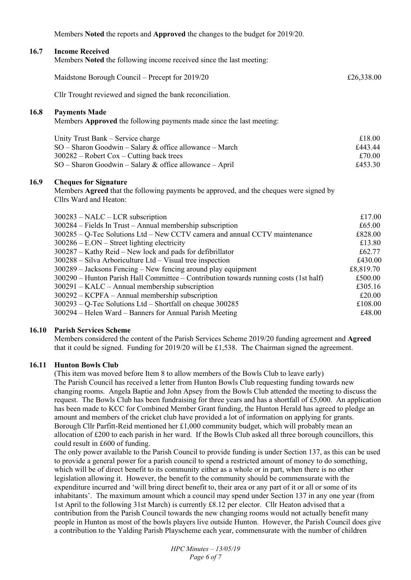Members **Noted** the reports and **Approved** the changes to the budget for 2019/20.

#### **16.7 Income Received**

Members **Noted** the following income received since the last meeting:

|      | Maidstone Borough Council - Precept for 2019/20                                                                                                  | £26,338.00        |
|------|--------------------------------------------------------------------------------------------------------------------------------------------------|-------------------|
|      | Cllr Trought reviewed and signed the bank reconciliation.                                                                                        |                   |
| 16.8 | <b>Payments Made</b><br>Members Approved the following payments made since the last meeting:                                                     |                   |
|      | Unity Trust Bank – Service charge<br>$SO -$ Sharon Goodwin – Salary & office allowance – March                                                   | £18.00<br>£443.44 |
|      | $300282$ – Robert Cox – Cutting back trees<br>$SO -$ Sharon Goodwin – Salary & office allowance – April                                          | £70.00<br>£453.30 |
| 16.9 | <b>Cheques for Signature</b><br>Members Agreed that the following payments be approved, and the cheques were signed by<br>Cllrs Ward and Heaton: |                   |
|      | $300283$ – NALC – LCR subscription                                                                                                               | £17.00            |
|      | 300284 – Fields In Trust – Annual membership subscription                                                                                        | £65.00            |
|      | 300285 – Q-Tec Solutions Ltd – New CCTV camera and annual CCTV maintenance                                                                       | £828.00           |

| $J0020J$ $Q^-100$ bounded that the $W$ CCT $V$ cannot and annual CCT $V$ manifoliation | J∪JZU.UU  |
|----------------------------------------------------------------------------------------|-----------|
| $300286 - E. ON - Street lighting electricity$                                         | £13.80    |
| $300287 -$ Kathy Reid – New lock and pads for defibrillator                            | £62.77    |
| $300288$ – Silva Arboriculture Ltd – Visual tree inspection                            | £430.00   |
| $300289$ – Jacksons Fencing – New fencing around play equipment                        | £8,819.70 |
| 300290 – Hunton Parish Hall Committee – Contribution towards running costs (1st half)  | £500.00   |
| $300291 - KALC - Annual membership$ subscription                                       | £305.16   |
| $300292 - KCPFA - Annual membership$ subscription                                      | £20.00    |
| $300293 - Q$ -Tec Solutions Ltd – Shortfall on cheque 300285                           | £108.00   |
| 300294 – Helen Ward – Banners for Annual Parish Meeting                                | £48.00    |

#### **16.10 Parish Services Scheme**

Members considered the content of the Parish Services Scheme 2019/20 funding agreement and **Agreed** that it could be signed. Funding for 2019/20 will be £1,538. The Chairman signed the agreement.

#### **16.11 Hunton Bowls Club**

(This item was moved before Item 8 to allow members of the Bowls Club to leave early) The Parish Council has received a letter from Hunton Bowls Club requesting funding towards new changing rooms. Angela Baptie and John Apsey from the Bowls Club attended the meeting to discuss the request. The Bowls Club has been fundraising for three years and has a shortfall of £5,000. An application has been made to KCC for Combined Member Grant funding, the Hunton Herald has agreed to pledge an amount and members of the cricket club have provided a lot of information on applying for grants. Borough Cllr Parfitt-Reid mentioned her £1,000 community budget, which will probably mean an allocation of £200 to each parish in her ward. If the Bowls Club asked all three borough councillors, this could result in £600 of funding.

The only power available to the Parish Council to provide funding is under Section 137, as this can be used to provide a general power for a parish council to spend a restricted amount of money to do something, which will be of direct benefit to its community either as a whole or in part, when there is no other legislation allowing it. However, the benefit to the community should be commensurate with the expenditure incurred and 'will bring direct benefit to, their area or any part of it or all or some of its inhabitants'. The maximum amount which a council may spend under Section 137 in any one year (from 1st April to the following 31st March) is currently £8.12 per elector. Cllr Heaton advised that a contribution from the Parish Council towards the new changing rooms would not actually benefit many people in Hunton as most of the bowls players live outside Hunton. However, the Parish Council does give a contribution to the Yalding Parish Playscheme each year, commensurate with the number of children

> *HPC Minutes – 13/05/19 Page 6 of 7*